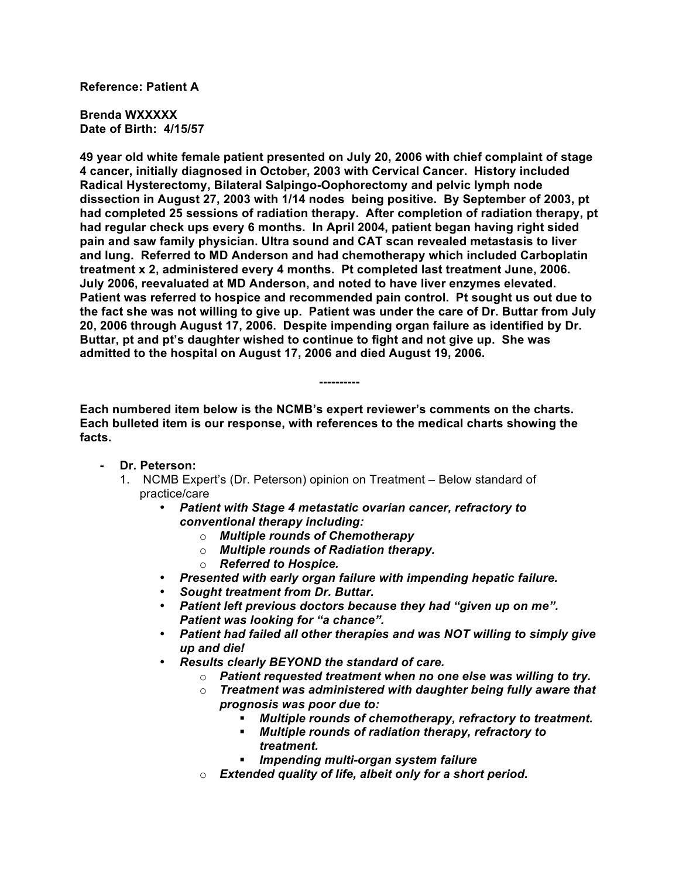## **Reference: Patient A**

**Brenda WXXXXX Date of Birth: 4/15/57**

**49 year old white female patient presented on July 20, 2006 with chief complaint of stage 4 cancer, initially diagnosed in October, 2003 with Cervical Cancer. History included Radical Hysterectomy, Bilateral Salpingo-Oophorectomy and pelvic lymph node dissection in August 27, 2003 with 1/14 nodes being positive. By September of 2003, pt had completed 25 sessions of radiation therapy. After completion of radiation therapy, pt had regular check ups every 6 months. In April 2004, patient began having right sided pain and saw family physician. Ultra sound and CAT scan revealed metastasis to liver and lung. Referred to MD Anderson and had chemotherapy which included Carboplatin treatment x 2, administered every 4 months. Pt completed last treatment June, 2006. July 2006, reevaluated at MD Anderson, and noted to have liver enzymes elevated. Patient was referred to hospice and recommended pain control. Pt sought us out due to the fact she was not willing to give up. Patient was under the care of Dr. Buttar from July 20, 2006 through August 17, 2006. Despite impending organ failure as identified by Dr. Buttar, pt and pt's daughter wished to continue to fight and not give up. She was admitted to the hospital on August 17, 2006 and died August 19, 2006.**

**Each numbered item below is the NCMB's expert reviewer's comments on the charts. Each bulleted item is our response, with references to the medical charts showing the facts.**

**----------**

- **- Dr. Peterson:**
	- 1. NCMB Expert's (Dr. Peterson) opinion on Treatment Below standard of practice/care
		- *Patient with Stage 4 metastatic ovarian cancer, refractory to conventional therapy including:*
			- o *Multiple rounds of Chemotherapy*
			- o *Multiple rounds of Radiation therapy.*
			- o *Referred to Hospice.*
		- *Presented with early organ failure with impending hepatic failure.*
		- *Sought treatment from Dr. Buttar.*
		- *Patient left previous doctors because they had "given up on me". Patient was looking for "a chance".*
		- *Patient had failed all other therapies and was NOT willing to simply give up and die!*
		- *Results clearly BEYOND the standard of care.* 
			- o *Patient requested treatment when no one else was willing to try.*
			- o *Treatment was administered with daughter being fully aware that prognosis was poor due to:*
				- *Multiple rounds of chemotherapy, refractory to treatment.*
				- *Multiple rounds of radiation therapy, refractory to treatment.*
				- *Impending multi-organ system failure*
			- o *Extended quality of life, albeit only for a short period.*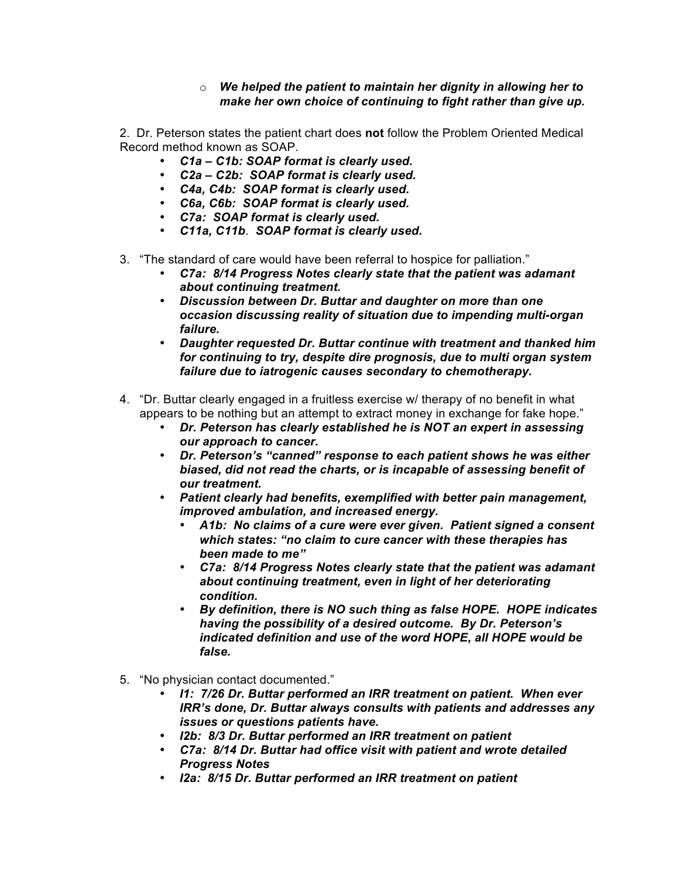## o *We helped the patient to maintain her dignity in allowing her to make her own choice of continuing to fight rather than give up.*

2. Dr. Peterson states the patient chart does **not** follow the Problem Oriented Medical Record method known as SOAP.

- *C1a C1b: SOAP format is clearly used.*
- *C2a C2b: SOAP format is clearly used.*
- *C4a, C4b: SOAP format is clearly used.*
- *C6a, C6b: SOAP format is clearly used.*
- *C7a: SOAP format is clearly used.*
- *C11a, C11b*. *SOAP format is clearly used.*
- 3. "The standard of care would have been referral to hospice for palliation."
	- *C7a: 8/14 Progress Notes clearly state that the patient was adamant about continuing treatment.*
	- *Discussion between Dr. Buttar and daughter on more than one occasion discussing reality of situation due to impending multi-organ failure.*
	- *Daughter requested Dr. Buttar continue with treatment and thanked him for continuing to try, despite dire prognosis, due to multi organ system failure due to iatrogenic causes secondary to chemotherapy.*
- 4. "Dr. Buttar clearly engaged in a fruitless exercise w/ therapy of no benefit in what appears to be nothing but an attempt to extract money in exchange for fake hope."
	- *Dr. Peterson has clearly established he is NOT an expert in assessing our approach to cancer.*
	- *Dr. Peterson's "canned" response to each patient shows he was either biased, did not read the charts, or is incapable of assessing benefit of our treatment.*
	- *Patient clearly had benefits, exemplified with better pain management, improved ambulation, and increased energy.*
		- *A1b: No claims of a cure were ever given. Patient signed a consent which states: "no claim to cure cancer with these therapies has been made to me"*
		- *C7a: 8/14 Progress Notes clearly state that the patient was adamant about continuing treatment, even in light of her deteriorating condition.*
		- *By definition, there is NO such thing as false HOPE. HOPE indicates having the possibility of a desired outcome. By Dr. Peterson's indicated definition and use of the word HOPE, all HOPE would be false.*
- 5. "No physician contact documented."
	- *I1: 7/26 Dr. Buttar performed an IRR treatment on patient. When ever IRR's done, Dr. Buttar always consults with patients and addresses any issues or questions patients have.*
	- *I2b: 8/3 Dr. Buttar performed an IRR treatment on patient*
	- *C7a: 8/14 Dr. Buttar had office visit with patient and wrote detailed Progress Notes*
	- *I2a: 8/15 Dr. Buttar performed an IRR treatment on patient*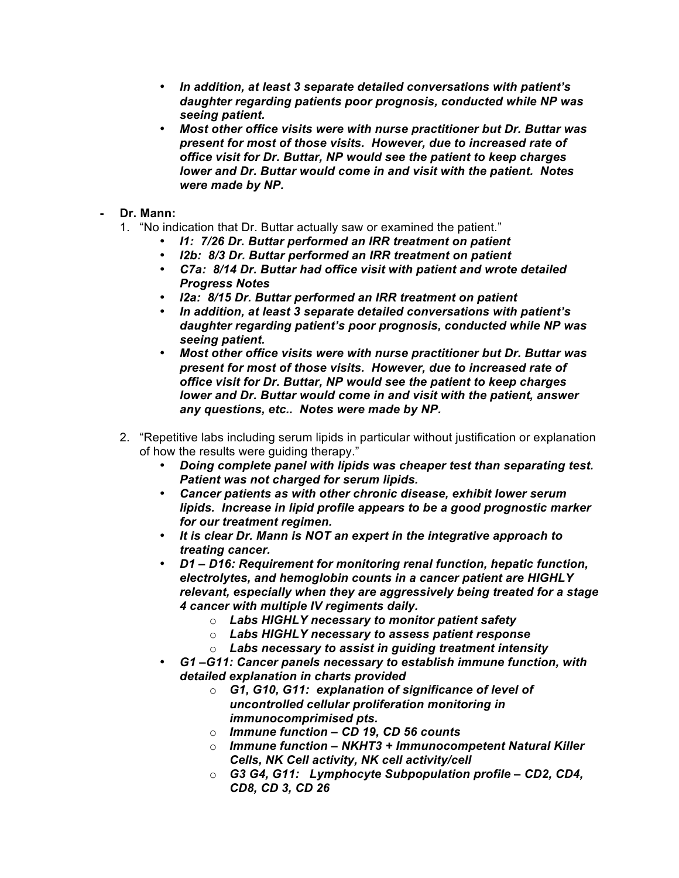- *In addition, at least 3 separate detailed conversations with patient's daughter regarding patients poor prognosis, conducted while NP was seeing patient.*
- *Most other office visits were with nurse practitioner but Dr. Buttar was present for most of those visits. However, due to increased rate of office visit for Dr. Buttar, NP would see the patient to keep charges lower and Dr. Buttar would come in and visit with the patient. Notes were made by NP.*

## **- Dr. Mann:**

- 1. "No indication that Dr. Buttar actually saw or examined the patient."
	- *I1: 7/26 Dr. Buttar performed an IRR treatment on patient*
	- *I2b: 8/3 Dr. Buttar performed an IRR treatment on patient*
	- *C7a: 8/14 Dr. Buttar had office visit with patient and wrote detailed Progress Notes*
	- *I2a: 8/15 Dr. Buttar performed an IRR treatment on patient*
	- *In addition, at least 3 separate detailed conversations with patient's daughter regarding patient's poor prognosis, conducted while NP was seeing patient.*
	- *Most other office visits were with nurse practitioner but Dr. Buttar was present for most of those visits. However, due to increased rate of office visit for Dr. Buttar, NP would see the patient to keep charges lower and Dr. Buttar would come in and visit with the patient, answer any questions, etc.. Notes were made by NP.*
- 2. "Repetitive labs including serum lipids in particular without justification or explanation of how the results were guiding therapy."
	- *Doing complete panel with lipids was cheaper test than separating test. Patient was not charged for serum lipids.*
	- *Cancer patients as with other chronic disease, exhibit lower serum lipids. Increase in lipid profile appears to be a good prognostic marker for our treatment regimen.*
	- *It is clear Dr. Mann is NOT an expert in the integrative approach to treating cancer.*
	- *D1 D16: Requirement for monitoring renal function, hepatic function, electrolytes, and hemoglobin counts in a cancer patient are HIGHLY relevant, especially when they are aggressively being treated for a stage 4 cancer with multiple IV regiments daily.* 
		- o *Labs HIGHLY necessary to monitor patient safety*
		- o *Labs HIGHLY necessary to assess patient response*
		- o *Labs necessary to assist in guiding treatment intensity*
	- *G1 –G11: Cancer panels necessary to establish immune function, with detailed explanation in charts provided*
		- o *G1, G10, G11: explanation of significance of level of uncontrolled cellular proliferation monitoring in immunocomprimised pts.*
		- o *Immune function – CD 19, CD 56 counts*
		- o *Immune function NKHT3 + Immunocompetent Natural Killer Cells, NK Cell activity, NK cell activity/cell*
		- o *G3 G4, G11: Lymphocyte Subpopulation profile CD2, CD4, CD8, CD 3, CD 26*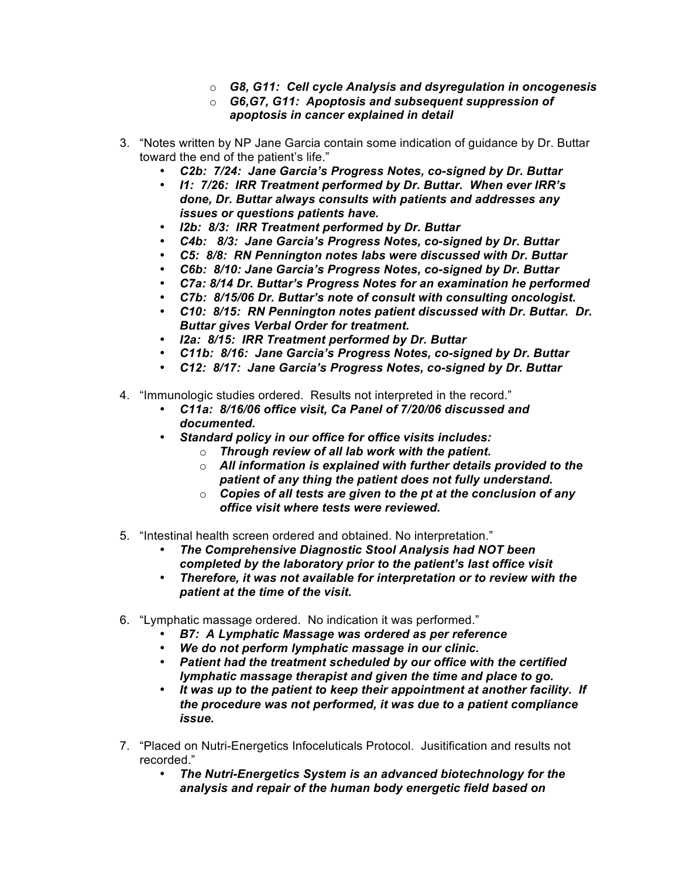- o *G8, G11: Cell cycle Analysis and dsyregulation in oncogenesis*
- o *G6,G7, G11: Apoptosis and subsequent suppression of apoptosis in cancer explained in detail*
- 3. "Notes written by NP Jane Garcia contain some indication of guidance by Dr. Buttar toward the end of the patient's life."
	- *C2b: 7/24: Jane Garcia's Progress Notes, co-signed by Dr. Buttar*
	- *I1: 7/26: IRR Treatment performed by Dr. Buttar. When ever IRR's done, Dr. Buttar always consults with patients and addresses any issues or questions patients have.*
	- *I2b: 8/3: IRR Treatment performed by Dr. Buttar*
	- *C4b: 8/3: Jane Garcia's Progress Notes, co-signed by Dr. Buttar*
	- *C5: 8/8: RN Pennington notes labs were discussed with Dr. Buttar*
	- *C6b: 8/10: Jane Garcia's Progress Notes, co-signed by Dr. Buttar*
	- *C7a: 8/14 Dr. Buttar's Progress Notes for an examination he performed*
	- *C7b: 8/15/06 Dr. Buttar's note of consult with consulting oncologist.*
	- *C10: 8/15: RN Pennington notes patient discussed with Dr. Buttar. Dr. Buttar gives Verbal Order for treatment.*
	- *I2a: 8/15: IRR Treatment performed by Dr. Buttar*
	- *C11b: 8/16: Jane Garcia's Progress Notes, co-signed by Dr. Buttar*
	- *C12: 8/17: Jane Garcia's Progress Notes, co-signed by Dr. Buttar*
- 4. "Immunologic studies ordered. Results not interpreted in the record."
	- *C11a: 8/16/06 office visit, Ca Panel of 7/20/06 discussed and documented.*
	- *Standard policy in our office for office visits includes:*
		- o *Through review of all lab work with the patient.*
		- o *All information is explained with further details provided to the patient of any thing the patient does not fully understand.*
		- o *Copies of all tests are given to the pt at the conclusion of any office visit where tests were reviewed.*
- 5. "Intestinal health screen ordered and obtained. No interpretation."
	- *The Comprehensive Diagnostic Stool Analysis had NOT been completed by the laboratory prior to the patient's last office visit*
	- *Therefore, it was not available for interpretation or to review with the patient at the time of the visit.*
- 6. "Lymphatic massage ordered. No indication it was performed."
	- *B7: A Lymphatic Massage was ordered as per reference*
	- *We do not perform lymphatic massage in our clinic.*
	- *Patient had the treatment scheduled by our office with the certified lymphatic massage therapist and given the time and place to go.*
	- *It was up to the patient to keep their appointment at another facility. If the procedure was not performed, it was due to a patient compliance issue.*
- 7. "Placed on Nutri-Energetics Infoceluticals Protocol. Jusitification and results not recorded."
	- *The Nutri-Energetics System is an advanced biotechnology for the analysis and repair of the human body energetic field based on*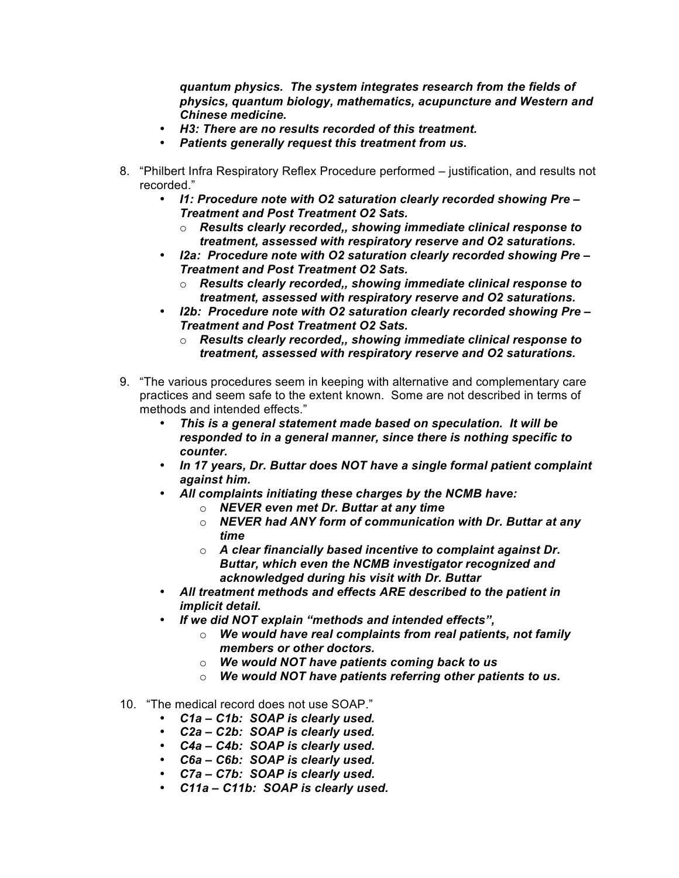*quantum physics. The system integrates research from the fields of physics, quantum biology, mathematics, acupuncture and Western and Chinese medicine.*

- *H3: There are no results recorded of this treatment.*
- *Patients generally request this treatment from us.*
- 8. "Philbert Infra Respiratory Reflex Procedure performed justification, and results not recorded."
	- *I1: Procedure note with O2 saturation clearly recorded showing Pre – Treatment and Post Treatment O2 Sats.* 
		- o *Results clearly recorded,, showing immediate clinical response to treatment, assessed with respiratory reserve and O2 saturations.*
	- *I2a: Procedure note with O2 saturation clearly recorded showing Pre – Treatment and Post Treatment O2 Sats.* 
		- o *Results clearly recorded,, showing immediate clinical response to treatment, assessed with respiratory reserve and O2 saturations.*
	- *I2b: Procedure note with O2 saturation clearly recorded showing Pre – Treatment and Post Treatment O2 Sats.* 
		- o *Results clearly recorded,, showing immediate clinical response to treatment, assessed with respiratory reserve and O2 saturations.*
- 9. "The various procedures seem in keeping with alternative and complementary care practices and seem safe to the extent known. Some are not described in terms of methods and intended effects."
	- *This is a general statement made based on speculation. It will be responded to in a general manner, since there is nothing specific to counter.*
	- *In 17 years, Dr. Buttar does NOT have a single formal patient complaint against him.*
	- *All complaints initiating these charges by the NCMB have:*
		- o *NEVER even met Dr. Buttar at any time*
		- o *NEVER had ANY form of communication with Dr. Buttar at any time*
		- o *A clear financially based incentive to complaint against Dr. Buttar, which even the NCMB investigator recognized and acknowledged during his visit with Dr. Buttar*
	- *All treatment methods and effects ARE described to the patient in implicit detail.*
	- *If we did NOT explain "methods and intended effects",* 
		- o *We would have real complaints from real patients, not family members or other doctors.*
		- o *We would NOT have patients coming back to us*
		- o *We would NOT have patients referring other patients to us.*
- 10. "The medical record does not use SOAP."
	- *C1a C1b: SOAP is clearly used.*
	- *C2a C2b: SOAP is clearly used.*
	- *C4a C4b: SOAP is clearly used.*
	- *C6a C6b: SOAP is clearly used.*
	- *C7a C7b: SOAP is clearly used.*
	- *C11a C11b: SOAP is clearly used.*